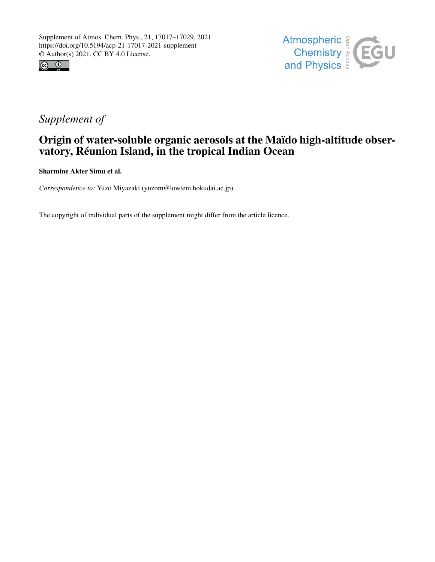



## *Supplement of*

## Origin of water-soluble organic aerosols at the Maïdo high-altitude observatory, Réunion Island, in the tropical Indian Ocean

Sharmine Akter Simu et al.

*Correspondence to:* Yuzo Miyazaki (yuzom@lowtem.hokudai.ac.jp)

The copyright of individual parts of the supplement might differ from the article licence.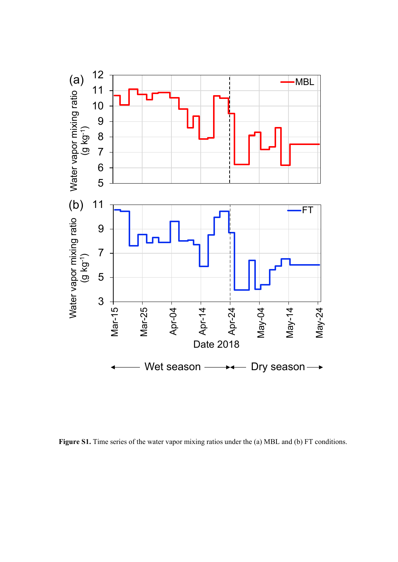

**Figure S1.** Time series of the water vapor mixing ratios under the (a) MBL and (b) FT conditions.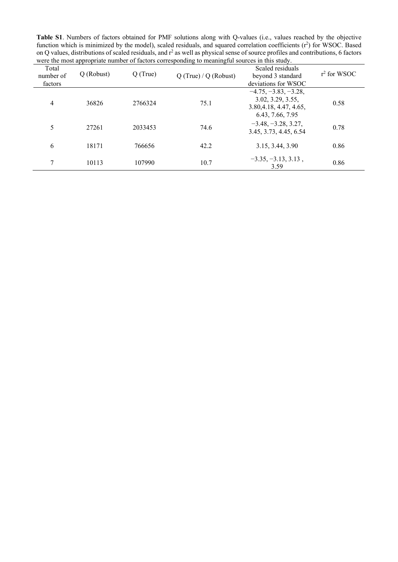**Table S1**. Numbers of factors obtained for PMF solutions along with Q-values (i.e., values reached by the objective function which is minimized by the model), scaled residuals, and squared correlation coefficients (r<sup>2</sup>) for WSOC. Based on Q values, distributions of scaled residuals, and  $r^2$  as well as physical sense of source profiles and contributions, 6 factors were the most appropriate number of factors corresponding to meaningful sources in this study.

| Total<br>number of<br>factors | Q (Robust) | $Q$ (True) | $Q$ (True) / $Q$ (Robust) | Scaled residuals<br>beyond 3 standard<br>deviations for WSOC                               | $r^2$ for WSOC |
|-------------------------------|------------|------------|---------------------------|--------------------------------------------------------------------------------------------|----------------|
| 4                             | 36826      | 2766324    | 75.1                      | $-4.75, -3.83, -3.28,$<br>3.02, 3.29, 3.55,<br>3.80, 4.18, 4.47, 4.65,<br>6.43, 7.66, 7.95 | 0.58           |
| 5                             | 27261      | 2033453    | 74.6                      | $-3.48, -3.28, 3.27,$<br>3.45, 3.73, 4.45, 6.54                                            | 0.78           |
| 6                             | 18171      | 766656     | 42.2                      | 3.15, 3.44, 3.90                                                                           | 0.86           |
| 7                             | 10113      | 107990     | 10.7                      | $-3.35, -3.13, 3.13,$<br>3.59                                                              | 0.86           |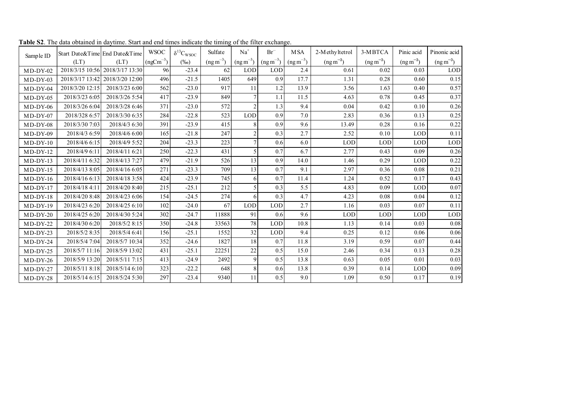| Sample ID  | Start Date&Time End Date&Time |                                 | <b>WSOC</b>   | $\delta^{13}C_{\rm WSOC}$ | Sulfate        | $Na+$         | $Br^-$        | <b>MSA</b>           | 2-Methyltetrol | 3-MBTCA        | Pinic acid     | Pinonic acid   |
|------------|-------------------------------|---------------------------------|---------------|---------------------------|----------------|---------------|---------------|----------------------|----------------|----------------|----------------|----------------|
|            | (LT)                          | (LT)                            | $(ngCm^{-3})$ | $(\%0)$                   | $(ng\,m^{-3})$ | $(ng m^{-3})$ | $(ng m^{-3})$ | $(\text{ng m}^{-3})$ | $(ng\,m^{-3})$ | $(ng\,m^{-3})$ | $(ng\,m^{-3})$ | $(ng\,m^{-3})$ |
| $MD-DY-02$ |                               | 2018/3/15 10:56 2018/3/17 13:30 | 96            | $-23.4$                   | 62             | <b>LOD</b>    | LOD           | 2.4                  | 0.61           | 0.02           | 0.03           | <b>LOD</b>     |
| $MD-DY-03$ | 2018/3/17 13:42               | 2018/3/20 12:00                 | 496           | $-21.5$                   | 1405           | 649           | 0.9           | 17.7                 | 1.31           | 0.28           | 0.60           | 0.15           |
| $MD-DY-04$ | 2018/3/20 12:15               | 2018/3/23 6:00                  | 562           | $-23.0$                   | 917            | 11            | 1.2           | 13.9                 | 3.56           | 1.63           | 0.40           | 0.57           |
| $MD-DY-05$ | 2018/3/23 6:05                | 2018/3/26 5:54                  | 417           | $-23.9$                   | 849            |               | 1.1           | 11.5                 | 4.63           | 0.78           | 0.45           | 0.37           |
| $MD-DY-06$ | 2018/3/26 6:04                | 2018/3/28 6:46                  | 371           | $-23.0$                   | 572            |               | 1.3           | 9.4                  | 0.04           | 0.42           | 0.10           | 0.26           |
| $MD-DY-07$ | 2018/328 6:57                 | 2018/3/30 6:35                  | 284           | $-22.8$                   | 523            | <b>LOD</b>    | 0.9           | 7.0                  | 2.83           | 0.36           | 0.13           | 0.25           |
| $MD-DY-08$ | 2018/3/30 7:03                | 2018/4/3 6:30                   | 391           | $-23.9$                   | 415            | 8             | 0.9           | 9.6                  | 13.49          | 0.28           | 0.16           | 0.22           |
| $MD-DY-09$ | 2018/4/3 6:59                 | 2018/4/6 6:00                   | 165           | $-21.8$                   | 247            |               | 0.3           | 2.7                  | 2.52           | 0.10           | <b>LOD</b>     | 0.11           |
| $MD-DY-10$ | 2018/4/6 6:15                 | 2018/4/9 5:52                   | 204           | $-23.3$                   | 223            |               | 0.6           | 6.0                  | LOD            | <b>LOD</b>     | <b>LOD</b>     | <b>LOD</b>     |
| $MD-DY-12$ | 2018/4/9 6:11                 | 2018/4/11 6:21                  | 250           | $-22.3$                   | 431            |               | 0.7           | 6.7                  | 2.77           | 0.43           | 0.09           | 0.26           |
| $MD-DY-13$ | 2018/4/11 6:32                | 2018/4/13 7:27                  | 479           | $-21.9$                   | 526            | 13            | 0.9           | 14.0                 | 1.46           | 0.29           | <b>LOD</b>     | 0.22           |
| $MD-DY-15$ | 2018/4/13 8:05                | 2018/4/16 6:05                  | 271           | $-23.3$                   | 709            | 13            | 0.7           | 9.1                  | 2.97           | 0.36           | 0.08           | 0.21           |
| $MD-DY-16$ | 2018/4/16 6:13                | 2018/4/18 3:58                  | 424           | $-23.9$                   | 745            | 6             | 0.7           | 11.4                 | 1.24           | 0.52           | 0.17           | 0.43           |
| $MD-DY-17$ | 2018/4/18 4:11                | 2018/4/20 8:40                  | 215           | $-25.1$                   | 212            |               | 0.3           | 5.5                  | 4.83           | 0.09           | <b>LOD</b>     | 0.07           |
| $MD-DY-18$ | 2018/4/20 8:48                | 2018/4/23 6:06                  | 154           | $-24.5$                   | 274            | 6             | 0.3           | 4.7                  | 4.23           | 0.08           | 0.04           | 0.12           |
| $MD-DY-19$ | 2018/4/23 6:20                | 2018/4/25 6:10                  | 102           | $-24.0$                   | 67             | <b>LOD</b>    | LOD           | 2.7                  | 1.16           | 0.03           | 0.07           | 0.11           |
| $MD-DY-20$ | 2018/4/25 6:20                | 2018/4/30 5:24                  | 302           | $-24.7$                   | 11888          | 91            | 0.6           | 9.6                  | LOD            | <b>LOD</b>     | <b>LOD</b>     | <b>LOD</b>     |
| $MD-DY-22$ | 2018/4/30 6:20                | 2018/5/2 8:15                   | 350           | $-24.8$                   | 33563          | 78            | LOD           | 10.8                 | 1.13           | 0.14           | 0.03           | 0.08           |
| $MD-DY-23$ | 2018/5/2 8:35                 | 2018/5/4 6:41                   | 156           | $-25.1$                   | 1552           | 32            | LOD           | 9.4                  | 0.25           | 0.12           | 0.06           | 0.06           |
| $MD-DY-24$ | 2018/5/4 7:04                 | 2018/5/7 10:34                  | 352           | $-24.6$                   | 1827           | 18            | 0.7           | 11.8                 | 3.19           | 0.59           | 0.07           | 0.44           |
| $MD-DY-25$ | 2018/5/7 11:16                | 2018/5/9 13:02                  | 431           | $-25.1$                   | 22251          | 22            | 0.5           | 15.0                 | 2.46           | 0.34           | 0.13           | 0.28           |
| $MD-DY-26$ | 2018/5/9 13:20                | 2018/5/11 7:15                  | 413           | $-24.9$                   | 2492           | $\mathbf Q$   | 0.5           | 13.8                 | 0.63           | 0.05           | 0.01           | 0.03           |
| $MD-DY-27$ | 2018/5/11 8:18                | 2018/5/14 6:10                  | 323           | $-22.2$                   | 648            | 8             | 0.6           | 13.8                 | 0.39           | 0.14           | <b>LOD</b>     | 0.09           |
| $MD-DY-28$ | 2018/5/14 6:15                | 2018/5/24 5:30                  | 297           | $-23.4$                   | 9340           | 11            | 0.5           | 9.0                  | 1.09           | 0.50           | 0.17           | 0.19           |

**Table S2**. The data obtained in daytime. Start and end times indicate the timing of the filter exchange.